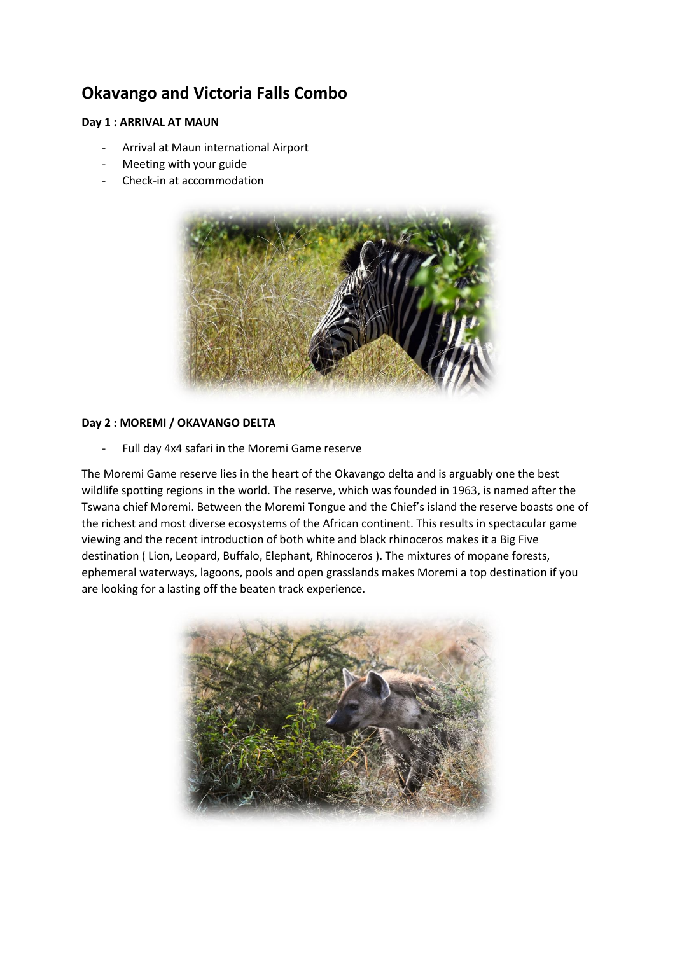# **Okavango and Victoria Falls Combo**

# **Day 1 : ARRIVAL AT MAUN**

- Arrival at Maun international Airport
- Meeting with your guide
- Check-in at accommodation



# **Day 2 : MOREMI / OKAVANGO DELTA**

- Full day 4x4 safari in the Moremi Game reserve

The Moremi Game reserve lies in the heart of the Okavango delta and is arguably one the best wildlife spotting regions in the world. The reserve, which was founded in 1963, is named after the Tswana chief Moremi. Between the Moremi Tongue and the Chief's island the reserve boasts one of the richest and most diverse ecosystems of the African continent. This results in spectacular game viewing and the recent introduction of both white and black rhinoceros makes it a Big Five destination ( Lion, Leopard, Buffalo, Elephant, Rhinoceros ). The mixtures of mopane forests, ephemeral waterways, lagoons, pools and open grasslands makes Moremi a top destination if you are looking for a lasting off the beaten track experience.

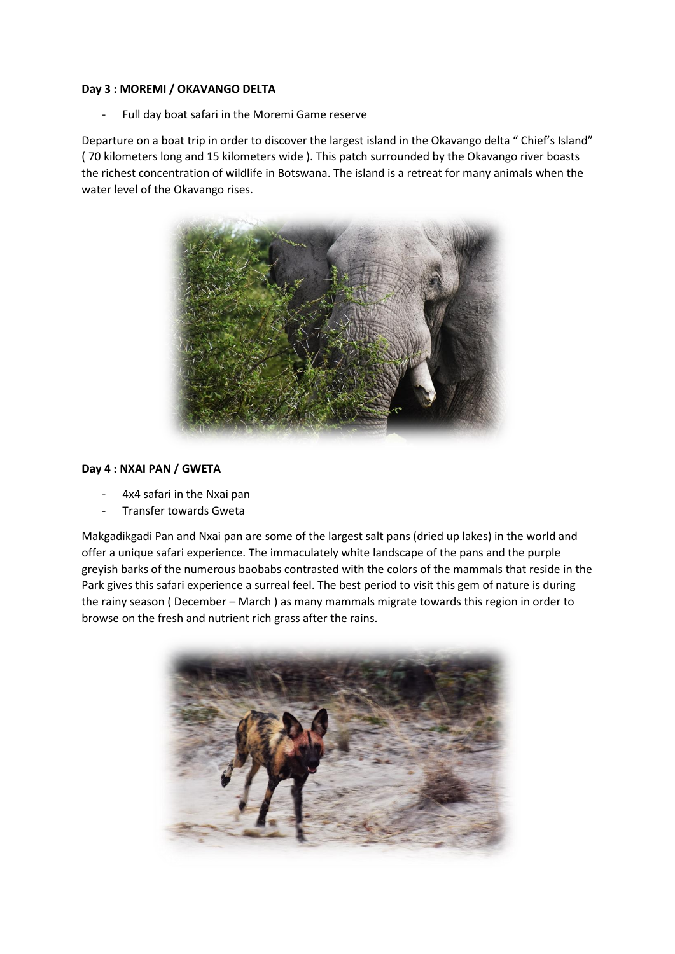# **Day 3 : MOREMI / OKAVANGO DELTA**

Full day boat safari in the Moremi Game reserve

Departure on a boat trip in order to discover the largest island in the Okavango delta " Chief's Island" ( 70 kilometers long and 15 kilometers wide ). This patch surrounded by the Okavango river boasts the richest concentration of wildlife in Botswana. The island is a retreat for many animals when the water level of the Okavango rises.



# **Day 4 : NXAI PAN / GWETA**

- 4x4 safari in the Nxai pan
- Transfer towards Gweta

Makgadikgadi Pan and Nxai pan are some of the largest salt pans (dried up lakes) in the world and offer a unique safari experience. The immaculately white landscape of the pans and the purple greyish barks of the numerous baobabs contrasted with the colors of the mammals that reside in the Park gives this safari experience a surreal feel. The best period to visit this gem of nature is during the rainy season ( December – March ) as many mammals migrate towards this region in order to browse on the fresh and nutrient rich grass after the rains.

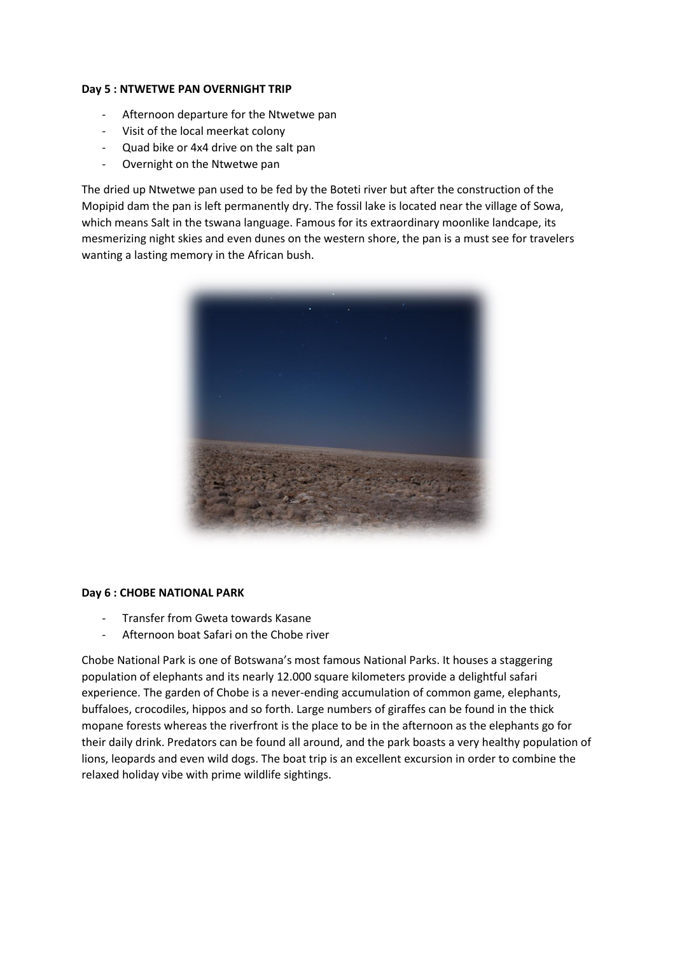## **Day 5 : NTWETWE PAN OVERNIGHT TRIP**

- Afternoon departure for the Ntwetwe pan
- Visit of the local meerkat colony
- Quad bike or 4x4 drive on the salt pan
- Overnight on the Ntwetwe pan

The dried up Ntwetwe pan used to be fed by the Boteti river but after the construction of the Mopipid dam the pan is left permanently dry. The fossil lake is located near the village of Sowa, which means Salt in the tswana language. Famous for its extraordinary moonlike landcape, its mesmerizing night skies and even dunes on the western shore, the pan is a must see for travelers wanting a lasting memory in the African bush.



# **Day 6 : CHOBE NATIONAL PARK**

- Transfer from Gweta towards Kasane
- Afternoon boat Safari on the Chobe river

Chobe National Park is one of Botswana's most famous National Parks. It houses a staggering population of elephants and its nearly 12.000 square kilometers provide a delightful safari experience. The garden of Chobe is a never-ending accumulation of common game, elephants, buffaloes, crocodiles, hippos and so forth. Large numbers of giraffes can be found in the thick mopane forests whereas the riverfront is the place to be in the afternoon as the elephants go for their daily drink. Predators can be found all around, and the park boasts a very healthy population of lions, leopards and even wild dogs. The boat trip is an excellent excursion in order to combine the relaxed holiday vibe with prime wildlife sightings.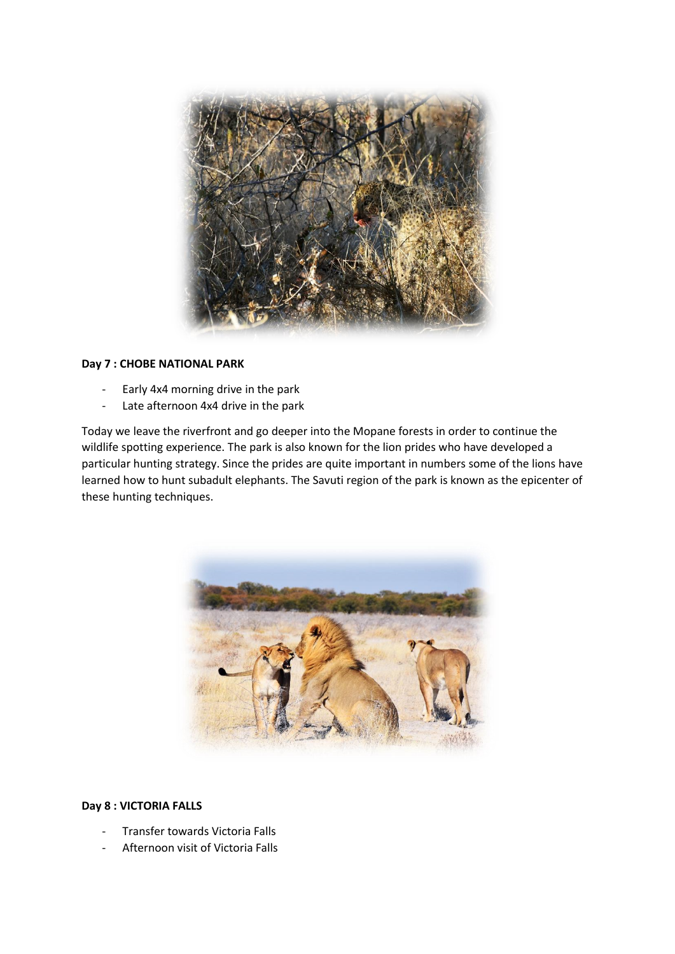

## **Day 7 : CHOBE NATIONAL PARK**

- Early 4x4 morning drive in the park
- Late afternoon 4x4 drive in the park

Today we leave the riverfront and go deeper into the Mopane forests in order to continue the wildlife spotting experience. The park is also known for the lion prides who have developed a particular hunting strategy. Since the prides are quite important in numbers some of the lions have learned how to hunt subadult elephants. The Savuti region of the park is known as the epicenter of these hunting techniques.



#### **Day 8 : VICTORIA FALLS**

- Transfer towards Victoria Falls
- Afternoon visit of Victoria Falls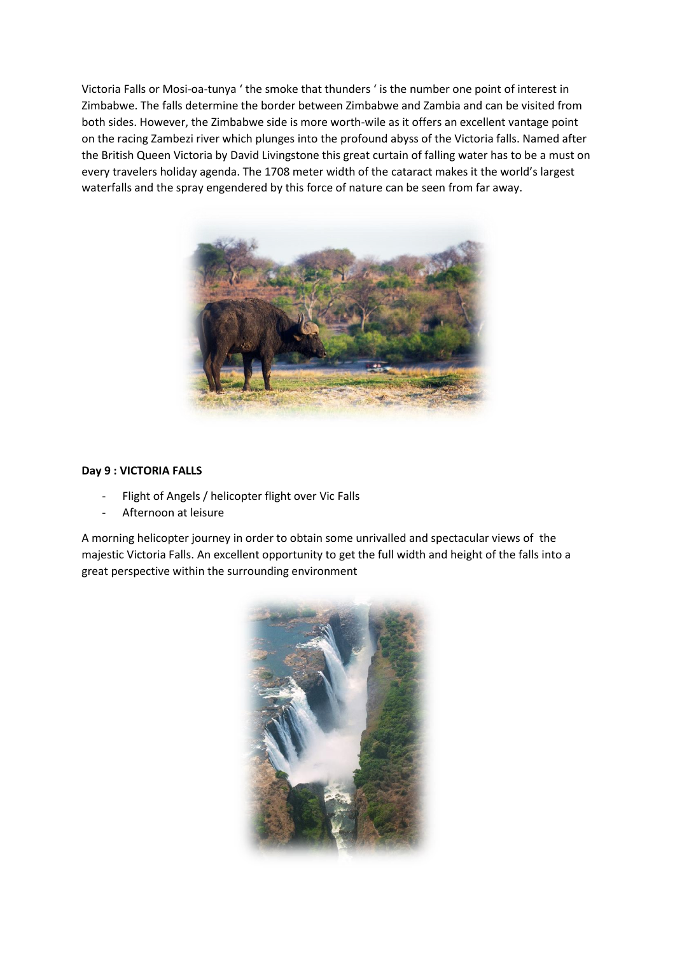Victoria Falls or Mosi-oa-tunya ' the smoke that thunders ' is the number one point of interest in Zimbabwe. The falls determine the border between Zimbabwe and Zambia and can be visited from both sides. However, the Zimbabwe side is more worth-wile as it offers an excellent vantage point on the racing Zambezi river which plunges into the profound abyss of the Victoria falls. Named after the British Queen Victoria by David Livingstone this great curtain of falling water has to be a must on every travelers holiday agenda. The 1708 meter width of the cataract makes it the world's largest waterfalls and the spray engendered by this force of nature can be seen from far away.



## **Day 9 : VICTORIA FALLS**

- Flight of Angels / helicopter flight over Vic Falls
- Afternoon at leisure

A morning helicopter journey in order to obtain some unrivalled and spectacular views of the majestic Victoria Falls. An excellent opportunity to get the full width and height of the falls into a great perspective within the surrounding environment